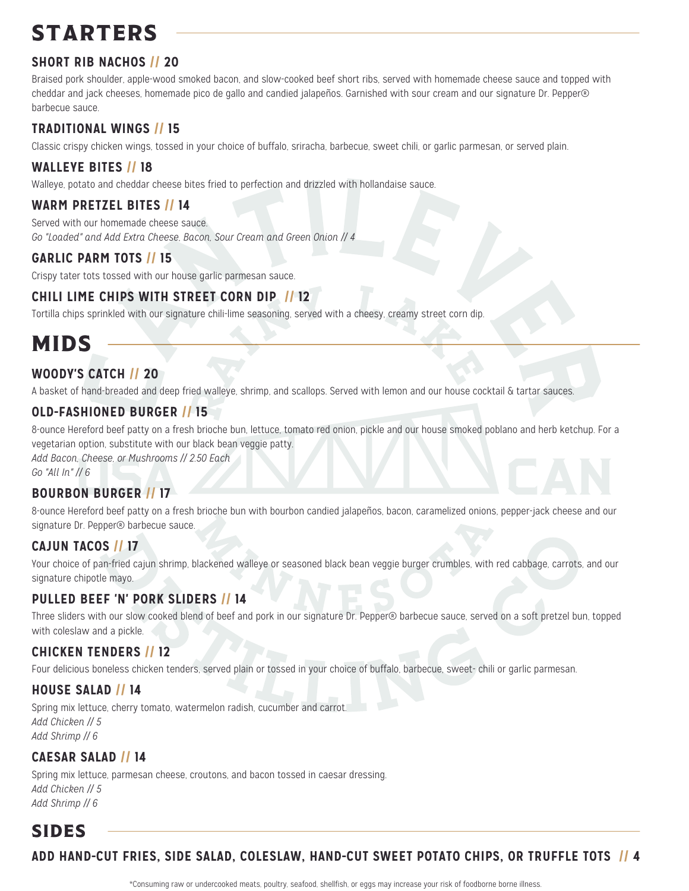# **STARTERS**

# **SHORT RIB NACHOS // 20**

Braised pork shoulder, apple-wood smoked bacon, and slow-cooked beef short ribs, served with homemade cheese sauce and topped with cheddar and jack cheeses, homemade pico de gallo and candied jalapeños. Garnished with sour cream and our signature Dr. Pepper® barbecue sauce.

### **TRADITIONAL WINGS // 15**

Classic crispy chicken wings, tossed in your choice of buffalo, sriracha, barbecue, sweet chili, or garlic parmesan, or served plain.

#### **WALLEYE BITES // 18**

Walleye, potato and cheddar cheese bites fried to perfection and drizzled with hollandaise sauce.

### **WARM PRETZEL BITES // 14**

Served with our homemade cheese sauce. *Go "Loaded" and Add Extra Cheese, Bacon, Sour Cream and Green Onion // 4*

### **GARLIC PARM TOTS // 15**

Crispy tater tots tossed with our house garlic parmesan sauce.

## **CHILI LIME CHIPS WITH STREET CORN DIP // 12**

Tortilla chips sprinkled with our signature chili-lime seasoning, served with a cheesy, creamy street corn dip.

# MIDS

# **WOODY'S CATCH // 20**

A basket of hand-breaded and deep fried walleye, shrimp, and scallops. Served with lemon and our house cocktail & tartar sauces.

### **OLD-FASHIONED BURGER // 15**

8-ounce Hereford beef patty on a fresh brioche bun, lettuce, tomato red onion, pickle and our house smoked poblano and herb ketchup. For a vegetarian option, substitute with our black bean veggie patty.

*Add Bacon, Cheese, or Mushrooms // 2.50 Each*

*Go "All In" // 6*

### **BOURBON BURGER // 17**

8-ounce Hereford beef patty on a fresh brioche bun with bourbon candied jalapeños, bacon, caramelized onions, pepper-jack cheese and our signature Dr. Pepper<sup>®</sup> barbecue sauce.

### **CAJUN TACOS // 17**

Your choice of pan-fried cajun shrimp, blackened walleye or seasoned black bean veggie burger crumbles, with red cabbage, carrots, and our signature chipotle mayo.

### **PULLED BEEF 'N' PORK SLIDERS // 14**

Three sliders with our slow cooked blend of beef and pork in our signature Dr. Pepper® barbecue sauce, served on a soft pretzel bun, topped with coleslaw and a pickle.

### **CHICKEN TENDERS // 12**

Four delicious boneless chicken tenders, served plain or tossed in your choice of buffalo, barbecue, sweet- chili or garlic parmesan.

#### **HOUSE SALAD // 14**

Spring mix lettuce, cherry tomato, watermelon radish, cucumber and carrot. *Add Chicken // 5 Add Shrimp // 6*

### **CAESAR SALAD // 14**

Spring mix lettuce, parmesan cheese, croutons, and bacon tossed in caesar dressing. *Add Chicken // 5 Add Shrimp // 6*

# SIDES

## **ADD HAND-CUT FRIES, SIDE SALAD, COLESLAW, HAND-CUT SWEET POTATO CHIPS, OR TRUFFLE TOTS // 4**